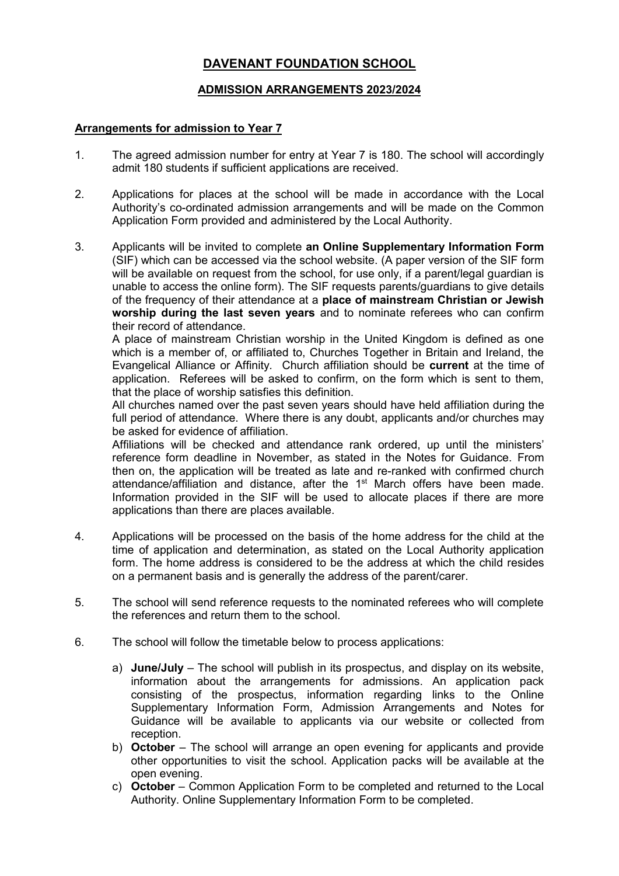## **DAVENANT FOUNDATION SCHOOL**

## **ADMISSION ARRANGEMENTS 2023/2024**

## **Arrangements for admission to Year 7**

- 1. The agreed admission number for entry at Year 7 is 180. The school will accordingly admit 180 students if sufficient applications are received.
- 2. Applications for places at the school will be made in accordance with the Local Authority's co-ordinated admission arrangements and will be made on the Common Application Form provided and administered by the Local Authority.
- 3. Applicants will be invited to complete **an Online Supplementary Information Form** (SIF) which can be accessed via the school website. (A paper version of the SIF form will be available on request from the school, for use only, if a parent/legal guardian is unable to access the online form). The SIF requests parents/guardians to give details of the frequency of their attendance at a **place of mainstream Christian or Jewish worship during the last seven years** and to nominate referees who can confirm their record of attendance.

A place of mainstream Christian worship in the United Kingdom is defined as one which is a member of, or affiliated to, Churches Together in Britain and Ireland, the Evangelical Alliance or Affinity*.* Church affiliation should be **current** at the time of application. Referees will be asked to confirm, on the form which is sent to them, that the place of worship satisfies this definition.

All churches named over the past seven years should have held affiliation during the full period of attendance. Where there is any doubt, applicants and/or churches may be asked for evidence of affiliation.

Affiliations will be checked and attendance rank ordered, up until the ministers' reference form deadline in November, as stated in the Notes for Guidance. From then on, the application will be treated as late and re-ranked with confirmed church attendance/affiliation and distance, after the 1<sup>st</sup> March offers have been made. Information provided in the SIF will be used to allocate places if there are more applications than there are places available.

- 4. Applications will be processed on the basis of the home address for the child at the time of application and determination, as stated on the Local Authority application form. The home address is considered to be the address at which the child resides on a permanent basis and is generally the address of the parent/carer.
- 5. The school will send reference requests to the nominated referees who will complete the references and return them to the school.
- 6. The school will follow the timetable below to process applications:
	- a) **June/July** The school will publish in its prospectus, and display on its website, information about the arrangements for admissions. An application pack consisting of the prospectus, information regarding links to the Online Supplementary Information Form, Admission Arrangements and Notes for Guidance will be available to applicants via our website or collected from reception.
	- b) **October** The school will arrange an open evening for applicants and provide other opportunities to visit the school. Application packs will be available at the open evening.
	- c) **October** Common Application Form to be completed and returned to the Local Authority. Online Supplementary Information Form to be completed.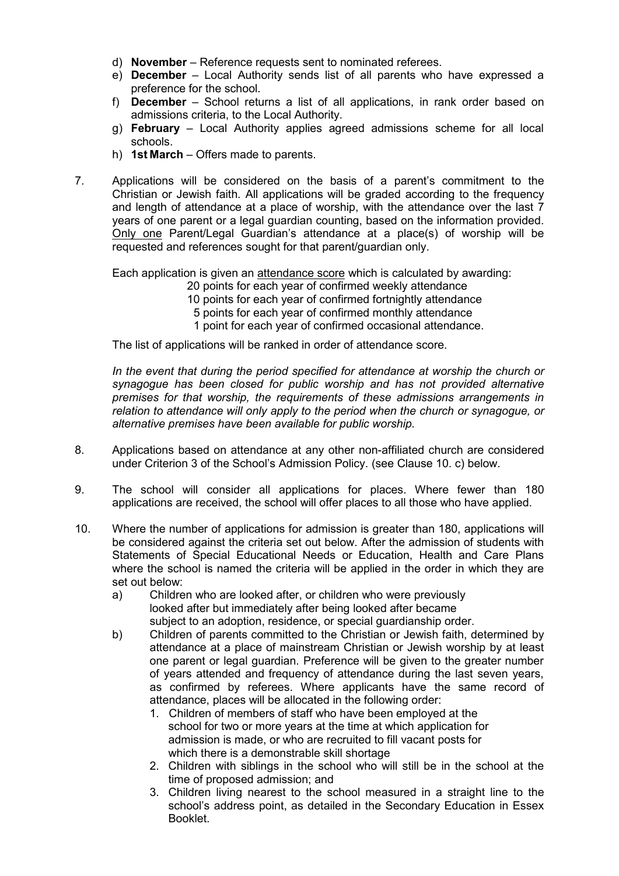- d) **November** Reference requests sent to nominated referees.
- e) **December** Local Authority sends list of all parents who have expressed a preference for the school.
- f) **December** School returns a list of all applications, in rank order based on admissions criteria, to the Local Authority.
- g) **February**  Local Authority applies agreed admissions scheme for all local schools.
- h) **1st March** Offers made to parents.
- 7. Applications will be considered on the basis of a parent's commitment to the Christian or Jewish faith. All applications will be graded according to the frequency and length of attendance at a place of worship, with the attendance over the last 7 years of one parent or a legal guardian counting, based on the information provided. Only one Parent/Legal Guardian's attendance at a place(s) of worship will be requested and references sought for that parent/guardian only.

Each application is given an attendance score which is calculated by awarding:

- 20 points for each year of confirmed weekly attendance
- 10 points for each year of confirmed fortnightly attendance
- 5 points for each year of confirmed monthly attendance
- 1 point for each year of confirmed occasional attendance.

The list of applications will be ranked in order of attendance score.

*In the event that during the period specified for attendance at worship the church or synagogue has been closed for public worship and has not provided alternative premises for that worship, the requirements of these admissions arrangements in relation to attendance will only apply to the period when the church or synagogue, or alternative premises have been available for public worship.* 

- 8. Applications based on attendance at any other non-affiliated church are considered under Criterion 3 of the School's Admission Policy. (see Clause 10. c) below.
- 9. The school will consider all applications for places. Where fewer than 180 applications are received, the school will offer places to all those who have applied.
- 10. Where the number of applications for admission is greater than 180, applications will be considered against the criteria set out below. After the admission of students with Statements of Special Educational Needs or Education, Health and Care Plans where the school is named the criteria will be applied in the order in which they are set out below:
	- a) Children who are looked after, or children who were previously looked after but immediately after being looked after became subject to an adoption, residence, or special guardianship order.
	- b) Children of parents committed to the Christian or Jewish faith, determined by attendance at a place of mainstream Christian or Jewish worship by at least one parent or legal guardian. Preference will be given to the greater number of years attended and frequency of attendance during the last seven years, as confirmed by referees. Where applicants have the same record of attendance, places will be allocated in the following order:
		- 1. Children of members of staff who have been employed at the school for two or more years at the time at which application for admission is made, or who are recruited to fill vacant posts for which there is a demonstrable skill shortage
		- 2. Children with siblings in the school who will still be in the school at the time of proposed admission; and
		- 3. Children living nearest to the school measured in a straight line to the school's address point, as detailed in the Secondary Education in Essex Booklet.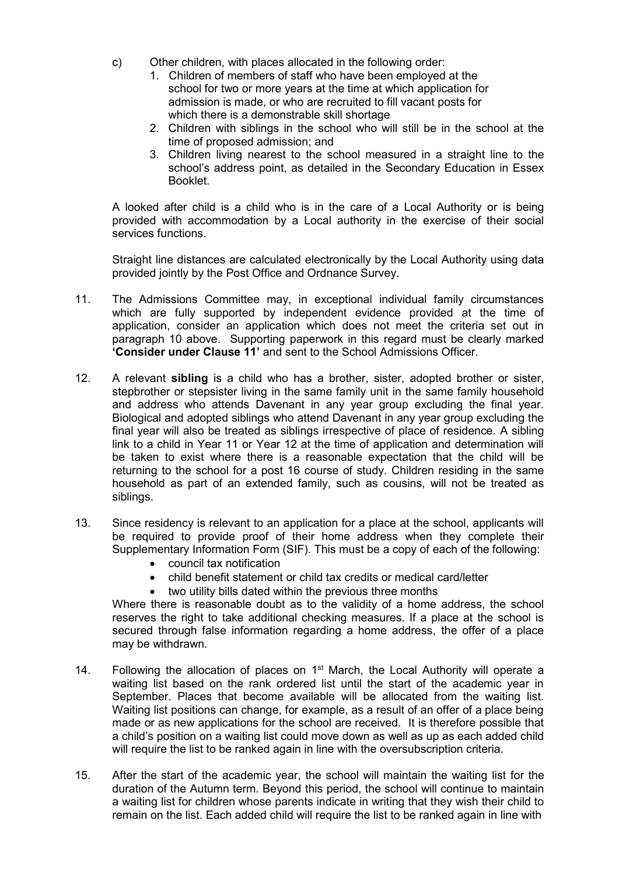- c) Other children, with places allocated in the following order:
	- 1. Children of members of staff who have been employed at the school for two or more years at the time at which application for admission is made, or who are recruited to fill vacant posts for which there is a demonstrable skill shortage
	- 2. Children with siblings in the school who will still be in the school at the time of proposed admission; and
	- 3. Children living nearest to the school measured in a straight line to the school's address point, as detailed in the Secondary Education in Essex Booklet.

A looked after child is a child who is in the care of a Local Authority or is being provided with accommodation by a Local authority in the exercise of their social services functions.

Straight line distances are calculated electronically by the Local Authority using data provided jointly by the Post Office and Ordnance Survey.

- 11. The Admissions Committee may, in exceptional individual family circumstances which are fully supported by independent evidence provided at the time of application, consider an application which does not meet the criteria set out in paragraph 10 above. Supporting paperwork in this regard must be clearly marked **'Consider under Clause 11'** and sent to the School Admissions Officer.
- 12. A relevant **sibling** is a child who has a brother, sister, adopted brother or sister, stepbrother or stepsister living in the same family unit in the same family household and address who attends Davenant in any year group excluding the final year. Biological and adopted siblings who attend Davenant in any year group excluding the final year will also be treated as siblings irrespective of place of residence. A sibling link to a child in Year 11 or Year 12 at the time of application and determination will be taken to exist where there is a reasonable expectation that the child will be returning to the school for a post 16 course of study. Children residing in the same household as part of an extended family, such as cousins, will not be treated as siblings.
- 13. Since residency is relevant to an application for a place at the school, applicants will be required to provide proof of their home address when they complete their Supplementary Information Form (SIF). This must be a copy of each of the following:
	- council tax notification
	- child benefit statement or child tax credits or medical card/letter
	- two utility bills dated within the previous three months

Where there is reasonable doubt as to the validity of a home address, the school reserves the right to take additional checking measures. If a place at the school is secured through false information regarding a home address, the offer of a place may be withdrawn.

- 14. Following the allocation of places on  $1<sup>st</sup>$  March, the Local Authority will operate a waiting list based on the rank ordered list until the start of the academic year in September. Places that become available will be allocated from the waiting list. Waiting list positions can change, for example, as a result of an offer of a place being made or as new applications for the school are received. It is therefore possible that a child's position on a waiting list could move down as well as up as each added child will require the list to be ranked again in line with the oversubscription criteria.
- 15. After the start of the academic year, the school will maintain the waiting list for the duration of the Autumn term. Beyond this period, the school will continue to maintain a waiting list for children whose parents indicate in writing that they wish their child to remain on the list. Each added child will require the list to be ranked again in line with